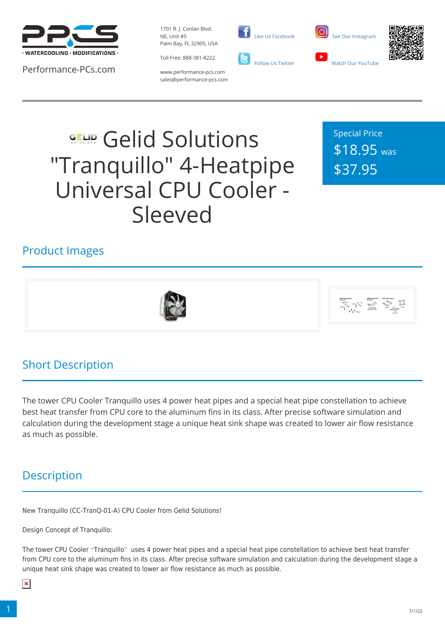

Performance-PCs.com

1701 R. J. Conlan Blvd. NE, Unit #5 Palm Bay, FL 32905, USA

Toll Free: 888-381-8222 www.performance-pcs.com sales@performance-pcs.com





Special Price \$18.95 was \$37.95

#### Product Images





#### Short Description

The tower CPU Cooler Tranquillo uses 4 power heat pipes and a special heat pipe constellation to achieve best heat transfer from CPU core to the aluminum fins in its class. After precise software simulation and calculation during the development stage a unique heat sink shape was created to lower air flow resistance as much as possible.

### **Description**

New Tranquillo (CC-TranQ-01-A) CPU Cooler from Gelid Solutions!

Design Concept of Tranquillo:

The tower CPU Cooler "Tranquillo" uses 4 power heat pipes and a special heat pipe constellation to achieve best heat transfer from CPU core to the aluminum fins in its class. After precise software simulation and calculation during the development stage a unique heat sink shape was created to lower air flow resistance as much as possible.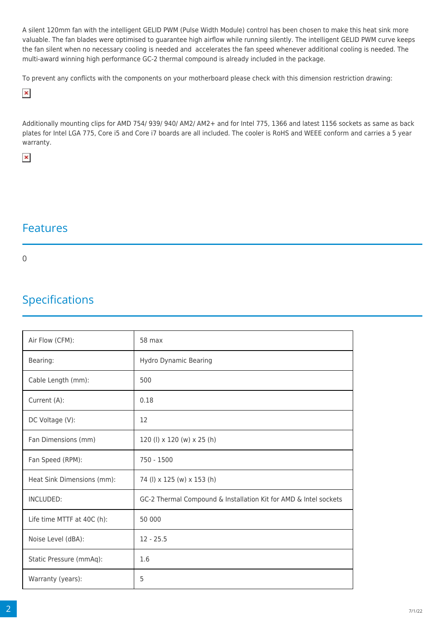A silent 120mm fan with the intelligent GELID PWM (Pulse Width Module) control has been chosen to make this heat sink more valuable. The fan blades were optimised to guarantee high airflow while running silently. The intelligent GELID PWM curve keeps the fan silent when no necessary cooling is needed and accelerates the fan speed whenever additional cooling is needed. The multi-award winning high performance GC-2 thermal compound is already included in the package.

To prevent any conflicts with the components on your motherboard please check with this dimension restriction drawing:

 $\pmb{\times}$ 

Additionally mounting clips for AMD 754/ 939/ 940/ AM2/ AM2+ and for Intel 775, 1366 and latest 1156 sockets as same as back plates for Intel LGA 775, Core i5 and Core i7 boards are all included. The cooler is RoHS and WEEE conform and carries a 5 year warranty.

 $\pmb{\times}$ 

#### Features

0

# Specifications

| Air Flow (CFM):            | 58 max                                                           |
|----------------------------|------------------------------------------------------------------|
| Bearing:                   | Hydro Dynamic Bearing                                            |
| Cable Length (mm):         | 500                                                              |
| Current (A):               | 0.18                                                             |
| DC Voltage (V):            | 12                                                               |
| Fan Dimensions (mm)        | 120 (l) x 120 (w) x 25 (h)                                       |
| Fan Speed (RPM):           | 750 - 1500                                                       |
| Heat Sink Dimensions (mm): | 74 (l) x 125 (w) x 153 (h)                                       |
| INCLUDED:                  | GC-2 Thermal Compound & Installation Kit for AMD & Intel sockets |
| Life time MTTF at 40C (h): | 50 000                                                           |
| Noise Level (dBA):         | $12 - 25.5$                                                      |
| Static Pressure (mmAq):    | 1.6                                                              |
| Warranty (years):          | 5                                                                |